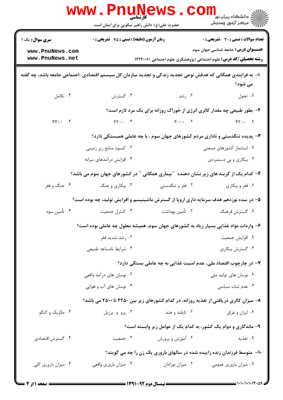|                                    | <b>www.PnuNews</b><br>کارشناسی<br>حضرت علی(ع): دانش راهبر نیکویی برای ایمان است                           |                                                                                                                                                                                                                                                                                                                                                     | ڪ دانشڪاه پيام نور<br><mark>∕</mark> > مرڪز آزمون وسنڊش                                                              |  |  |
|------------------------------------|-----------------------------------------------------------------------------------------------------------|-----------------------------------------------------------------------------------------------------------------------------------------------------------------------------------------------------------------------------------------------------------------------------------------------------------------------------------------------------|----------------------------------------------------------------------------------------------------------------------|--|--|
| <b>سری سوال :</b> یک ۱             | زمان آزمون (دقیقه) : تستی : 75 گشریحی : 0                                                                 |                                                                                                                                                                                                                                                                                                                                                     | تعداد سوالات : تستى : 30 ٪ تشريحي : 0                                                                                |  |  |
| www.PnuNews.com<br>www.PnuNews.net |                                                                                                           |                                                                                                                                                                                                                                                                                                                                                     | <b>عنـــوان درس:</b> جامعه شناسی جهان سوم<br><b>رشته تحصیلی/کد درس:</b> علوم اجتماعی (پژوهشگری علوم اجتماعی )۱۲۲۲۰۰۶ |  |  |
|                                    | ا– به فرایندی همگانی که هدفش نوعی تجدید زندگی و تجدید سازمان کل سیستم اقتصادی-اجتماعی جامعه باشد، چه گفته |                                                                                                                                                                                                                                                                                                                                                     | می شود؟                                                                                                              |  |  |
| ۰۴ تکامل                           | ۰۳ گسترش                                                                                                  | ۰۲ رشد                                                                                                                                                                                                                                                                                                                                              | ۰۱ تحول                                                                                                              |  |  |
|                                    |                                                                                                           | ۲- بطور طبیعی چه مقدار کالری انرژی از خوراک روزانه برای یک مرد لازم است؟                                                                                                                                                                                                                                                                            |                                                                                                                      |  |  |
| $\mathbf{r}$ $\cdots$ $\mathbf{r}$ | $YY$ $Y$                                                                                                  | $\mathbf{r} \cdot \cdot \cdot \cdot \cdot \mathbf{r}$                                                                                                                                                                                                                                                                                               | $\mathsf{r}\mathsf{r}\cdots$ .                                                                                       |  |  |
|                                    |                                                                                                           | ۳- پدیده تنگدستی و ناداری مردم کشورهای جهان سوم ، با چه عاملی همبستگی دارد؟                                                                                                                                                                                                                                                                         |                                                                                                                      |  |  |
|                                    | ۰۲ کمبود منابع زیر زمینی                                                                                  |                                                                                                                                                                                                                                                                                                                                                     | ۰۱ استثمار کشورهای صنعتی                                                                                             |  |  |
|                                    | ۰۴ افزایش درآمدهای سرانه                                                                                  |                                                                                                                                                                                                                                                                                                                                                     | ۰۳ بیکاری و بی دستمزدی                                                                                               |  |  |
|                                    | ۴– کدام یک از گزینه های زیر نشان دهنده ″آبیماری همگانی ″آ در کشورهای جهان سوم می باشد؟                    |                                                                                                                                                                                                                                                                                                                                                     |                                                                                                                      |  |  |
| ۰۴ جنگ و فقر                       | ۰۳ بیکاری و جنگ                                                                                           | ۰۲ فقر و تنگدستی                                                                                                                                                                                                                                                                                                                                    | ۰۱ فقر و بیکاری                                                                                                      |  |  |
|                                    | ۵– در سده نوزدهم هدف سرمایه داری اروپا از گسترش ماشینیسم و افزایش تولید، چه بوده است؟                     |                                                                                                                                                                                                                                                                                                                                                     |                                                                                                                      |  |  |
| ۰۴ تأمين سود                       | ۰۳ کنترل جمعیت                                                                                            | ۰۲ تأمین بهداشت                                                                                                                                                                                                                                                                                                                                     | ۰۱ گسترش فرهنگ                                                                                                       |  |  |
|                                    | ۶- واردات مواد غذایی بسیار زیاد به کشورهای جهان سوم، همیشه معلول چه عاملی بوده است؟                       |                                                                                                                                                                                                                                                                                                                                                     |                                                                                                                      |  |  |
|                                    | ۰۲ رشد شدید فقر                                                                                           |                                                                                                                                                                                                                                                                                                                                                     | ۰۱ افزايش جمعيت                                                                                                      |  |  |
|                                    | ۰۴ شرايط نامساعد طبيعي                                                                                    |                                                                                                                                                                                                                                                                                                                                                     | ۰۳ گسترش بیکاری                                                                                                      |  |  |
|                                    |                                                                                                           | ۷- در چارچوب اقتصاد ملی، عدم امنیت غذایی به چه عاملی بستگی دارد؟                                                                                                                                                                                                                                                                                    |                                                                                                                      |  |  |
|                                    | ۰۲ نوسان های درآمد واقعی                                                                                  |                                                                                                                                                                                                                                                                                                                                                     | ۰۱ نوسان های تولید ملی                                                                                               |  |  |
|                                    | ۰۴ نوسان های آب و هوایی                                                                                   |                                                                                                                                                                                                                                                                                                                                                     | ۰۳ عدم ثبات سیاسی                                                                                                    |  |  |
|                                    | ۸– میزان کالری دریافتی از تغذیه روزانه، در کدام کشورهای زیر بین ۲۲۵۰ تا ۲۵۰۰ می باشد؟                     |                                                                                                                                                                                                                                                                                                                                                     |                                                                                                                      |  |  |
| ۰۴ مکزیک و کنگو                    | ۰۳ پرو و برزيل                                                                                            | ۰۲ تایلند و هند                                                                                                                                                                                                                                                                                                                                     | ۰۱ ایران و عراق                                                                                                      |  |  |
|                                    |                                                                                                           | ۹- ماندگاری و دوام یک کشور، به کدام یک از عوامل زیر وابسته است؟                                                                                                                                                                                                                                                                                     |                                                                                                                      |  |  |
| ۰۴ گسترش اقتصادی                   | ۰۳ جمعیت                                                                                                  | ۰۲ آموزش و پرورش                                                                                                                                                                                                                                                                                                                                    | ۰۱ تغذیه                                                                                                             |  |  |
|                                    | <b>۱۰</b> - متوسط فرزندان زنده زاییده شده در سالهای باروری یک زن را چه می گویند؟                          |                                                                                                                                                                                                                                                                                                                                                     |                                                                                                                      |  |  |
| ۰۴ میزان باروری کلی                | ۰۳ میزان باروری واقعی                                                                                     | ٠٢ ميزان نوزادان                                                                                                                                                                                                                                                                                                                                    | ۰۱ میزان باروری عمومی                                                                                                |  |  |
|                                    |                                                                                                           | $\begin{picture}(180,10) \put(0,0){\line(1,0){10}} \put(10,0){\line(1,0){10}} \put(10,0){\line(1,0){10}} \put(10,0){\line(1,0){10}} \put(10,0){\line(1,0){10}} \put(10,0){\line(1,0){10}} \put(10,0){\line(1,0){10}} \put(10,0){\line(1,0){10}} \put(10,0){\line(1,0){10}} \put(10,0){\line(1,0){10}} \put(10,0){\line(1,0){10}} \put(10,0){\line($ | $= 1.1.11.1.114.0$                                                                                                   |  |  |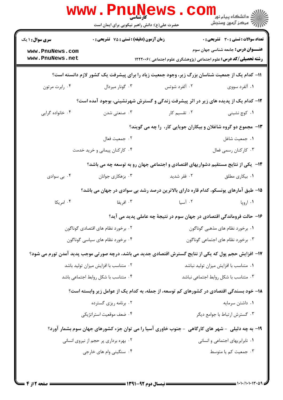|                                                                                                       | <b>www.Pnunews</b>                               | حضرت علی(ع): دانش راهبر نیکویی برای ایمان است |                                       | ڪ دانشڪاه پيا <sub>م</sub> نور<br><mark>√</mark> مرڪز آزمون وسنڊش                                                    |
|-------------------------------------------------------------------------------------------------------|--------------------------------------------------|-----------------------------------------------|---------------------------------------|----------------------------------------------------------------------------------------------------------------------|
| <b>سری سوال : ۱ یک</b>                                                                                | <b>زمان آزمون (دقیقه) : تستی : 75 تشریحی : 0</b> |                                               |                                       | <b>تعداد سوالات : تستی : 30 ٪ تشریحی : 0</b>                                                                         |
| www.PnuNews.com<br>www.PnuNews.net                                                                    |                                                  |                                               |                                       | <b>عنـــوان درس:</b> جامعه شناسی جهان سوم<br><b>رشته تحصیلی/کد درس:</b> علوم اجتماعی (پژوهشگری علوم اجتماعی )۱۲۲۲۰۰۶ |
|                                                                                                       |                                                  |                                               |                                       | 1۱– کدام یک از جمعیت شناسان بزرگ زیر، وجود جمعیت زیاد را برای پیشرفت یک کشور لازم دانسته است؟                        |
| ۰۴ رابرت مرتون                                                                                        | ۰۳ گونار میردال                                  |                                               | ۰۲ آلفرد شوتس                         | ۰۱ آلفرد سووي                                                                                                        |
|                                                                                                       |                                                  |                                               |                                       | ۱۲- کدام یک از پدیده های زیر در اثر پیشرفت زندگی و گسترش شهرنشینی، بوجود آمده است؟                                   |
| ۰۴ خانواده گرایی                                                                                      | ۰۳ صنعتي شدن                                     |                                               | ۰۲ تقسیم کار                          | ۰۱ کوچ نشینی                                                                                                         |
|                                                                                                       |                                                  |                                               |                                       | ۱۳- مجموع دو گروه شاغلان و بیکاران جویایی کار، را چه می گویند؟                                                       |
|                                                                                                       | ٠٢ جمعيت فعال                                    |                                               |                                       | ٠١ جمعيت شاغل                                                                                                        |
|                                                                                                       | ۰۴ کارکنان پیمانی و خرید خدمت                    |                                               |                                       | ۰۳ كاركنان رسمي فعال                                                                                                 |
|                                                                                                       |                                                  |                                               |                                       | ۱۴– یکی از نتایج مستقیم دشواریهای اقتصادی و اجتماعی جهان رو به توسعه چه می باشد؟                                     |
| ۰۴ بی سوادی                                                                                           | ۰۳ بزهکاری جوانان                                |                                               | ۰۲ فقر شدید                           | ۰۱ بیکاری مطلق                                                                                                       |
|                                                                                                       |                                                  |                                               |                                       | ۱۵– طبق آمارهای یونسکو، کدام قاره دارای بالاترین درصد رشد بی سوادی در جهان می باشد؟                                  |
| ۰۴ امریکا                                                                                             | ۰۳ افریقا                                        |                                               | ۰۲ آسیا                               | ۰۱ اروپا                                                                                                             |
|                                                                                                       |                                                  |                                               |                                       | ۱۶– حالت فروماندگی اقتصادی در جهان سوم در نتیجهٔ چه عاملی پدید می آید؟                                               |
|                                                                                                       | ۰۲ برخورد نظام های اقتصادی گوناگون               |                                               | ۰۱ برخورد نظام های مذهبی گوناگون      |                                                                                                                      |
| ۰۴ برخورد نظام های سیاسی گوناگون                                                                      |                                                  |                                               | ۰۳ برخورد نظام های اجتماعی گوناگون    |                                                                                                                      |
| ۱۷– افزایش حجم پول که یکی از نتایج گسترش اقتصادی جدید می باشد، درچه صورتی موجب پدید آمدن تورم می شود؟ |                                                  |                                               |                                       |                                                                                                                      |
| ۰۲ متناسب با افزایش میزان تولید باشد                                                                  |                                                  |                                               | ۰۱ متناسب با افزایش میزان تولید نباشد |                                                                                                                      |
|                                                                                                       | ۰۴ متناسب با شكل روابط اجتماعي باشد              |                                               | ۰۳ متناسب با شكل روابط اجتماعي نباشد  |                                                                                                                      |
|                                                                                                       |                                                  |                                               |                                       | ۱۸– خود بسندگی اقتصادی در کشورهای کم توسعه، از جمله، به کدام یک از عوامل زیر وابسته است؟                             |
|                                                                                                       | ۰۲ برنامه ریزی گسترده                            |                                               |                                       | ٠١ داشتن سرمايه                                                                                                      |
|                                                                                                       | ۰۴ ضعف موقعیت استراتژیکی                         |                                               |                                       | ۰۳ گسترش ارتباط با جوامع دیگر                                                                                        |
|                                                                                                       |                                                  |                                               |                                       | ۱۹- به چه دلیلی ً- شهر های کارگاهی ٍ- جنوب خاوری آسیا را می توان جزء کشورهای جهان سوم بشمار آورد؟                    |
| ۰۲ بهره برداری پر حجم از نیروی انسانی                                                                 |                                                  |                                               | ۰۱ نابرابریهای اجتماعی و انسانی       |                                                                                                                      |
|                                                                                                       | ۰۴ سنگینی وام های خارجی                          |                                               |                                       | ۰۳ جمعیت کم یا متوسط                                                                                                 |
|                                                                                                       |                                                  |                                               |                                       |                                                                                                                      |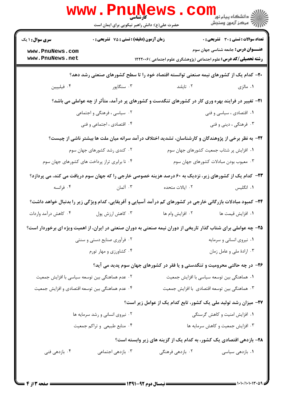|                                                                                                                 |                                                                     | کارشناسی<br>حضرت علی(ع): دانش راهبر نیکویی برای ایمان است |                           | ران دانشگاه پيام نور<br>ا <mark>ر</mark> ≫مرکز آزمون وسنجش                                                           |  |
|-----------------------------------------------------------------------------------------------------------------|---------------------------------------------------------------------|-----------------------------------------------------------|---------------------------|----------------------------------------------------------------------------------------------------------------------|--|
| <b>سری سوال : ۱ یک</b>                                                                                          | زمان آزمون (دقیقه) : تستی : 75 گشریحی : 0                           |                                                           |                           | تعداد سوالات : تستي : 30 ٪ تشريحي : 0                                                                                |  |
| www.PnuNews.com<br>www.PnuNews.net                                                                              |                                                                     |                                                           |                           | <b>عنـــوان درس:</b> جامعه شناسی جهان سوم<br><b>رشته تحصیلی/کد درس:</b> علوم اجتماعی (پژوهشگری علوم اجتماعی )۱۲۲۲۰۰۶ |  |
| +۲- کدام یک از کشورهای نیمه صنعتی توانسته اقتصاد خود را تا سطح کشورهای صنعتی رشد دهد؟                           |                                                                     |                                                           |                           |                                                                                                                      |  |
| ۰۴ فیلیپین                                                                                                      | ۰۳ سنگاپور                                                          |                                                           | ۰۲ تايلند                 | ۰۱ مالزی                                                                                                             |  |
|                                                                                                                 |                                                                     |                                                           |                           | <b>۳۱</b> - تغییر در فرایند بهره وری کار در کشورهای تنگدست و کشورهای پر درآمد، متأثر از چه عواملی می باشد؟           |  |
|                                                                                                                 | ۲. سیاسی ، فرهنگی و اجتماعی                                         |                                                           |                           | ۰۱ اقتصادی ، سیاسی و فنی                                                                                             |  |
|                                                                                                                 | ۰۴ اقتصادی ، اجتماعی و فنی                                          |                                                           |                           | ۰۳ فرهنگی ، دینی و فنی                                                                                               |  |
|                                                                                                                 |                                                                     |                                                           |                           | ۲۲- به نظر برخی از پژوهندگان و کارشناسان، تشدید اختلاف درآمد سرانه میان ملت ها بیشتر ناشی از چیست؟                   |  |
|                                                                                                                 | ۰۲ کندی رشد کشورهای جهان سوم                                        |                                                           |                           | ٠١ افزايش پر شتاب جمعيت كشورهاى جهان سوم                                                                             |  |
|                                                                                                                 | ۰۴ نا برابری تراز پرداخت های کشورهای جهان سوم                       |                                                           |                           | ۰۳ معیوب بودن مبادلات کشورهای جهان سوم                                                                               |  |
|                                                                                                                 |                                                                     |                                                           |                           | <b>۲۳</b> - کدام یک از کشورهای زیر، نزدیک به ۶۰ درصد هزینه خصوصی خارجی را که جهان سوم دریافت می کند، می پردازد؟      |  |
| ۰۴ فرانسه                                                                                                       | ۰۳ آلمان                                                            |                                                           | ۰۲ ایالات متحده           | ۰۱ انگلیس                                                                                                            |  |
|                                                                                                                 |                                                                     |                                                           |                           | ۲۴- کمبود مبادلات بازرگانی خارجی در کشورهای کم درآمد آسیایی و آفریقایی، کدام ویژگی زیر را بدنبال خواهد داشت؟         |  |
| ۰۴ کاهش درآمد واردات                                                                                            | ۰۳ کاهش ارزش پول                                                    |                                                           | ۰۲ افزایش وام ها          | ٠١. افزايش قيمت ها                                                                                                   |  |
| ۲۵- چه عواملی برای شتاب گذار تاریخی از دوران نیمه صنعتی به دوران صنعتی در ایران، از اهمیت ویژه ای برخوردار است؟ |                                                                     |                                                           |                           |                                                                                                                      |  |
| ۰۲ فرآوری صنایع دستی و سنتی                                                                                     |                                                                     |                                                           | ۰۱ نیروی انسانی و سرمایه  |                                                                                                                      |  |
| ۰۴ کشاورزی و مهار تورم                                                                                          |                                                                     |                                                           | ۰۳ ارادهٔ ملی و عامل زمان |                                                                                                                      |  |
|                                                                                                                 |                                                                     |                                                           |                           | ۲۶- در چه حالتی محرومیت و تنگدستی و یا فقر در کشورهای جهان سوم پدید می آید؟                                          |  |
| ۰۲ عدم هماهنگی بین توسعه سیاسی با افزایش جمعیت                                                                  |                                                                     |                                                           |                           | ٠١ هماهنگي بين توسعه سياسي با افزايش جمعيت                                                                           |  |
| ۰۴ عدم هماهنگی بین توسعه اقتصادی و افزایش جمعیت                                                                 |                                                                     |                                                           |                           | ۰۳ هماهنگی بین توسعه اقتصادی با افزایش جمعیت                                                                         |  |
|                                                                                                                 |                                                                     |                                                           |                           | ۲۷- میزان رشد تولید ملی یک کشور، تابع کدام یک از عوامل زیر است؟                                                      |  |
|                                                                                                                 | ۰۲ نیروی انسانی و رشد سرمایه ها                                     |                                                           |                           | ٠١ افزايش امنيت و كاهش گرسنگى                                                                                        |  |
|                                                                                                                 | ۰۴ منابع طبیعی و تراکم جمعیت                                        |                                                           |                           | ۰۳ افزایش جمعیت و کاهش سرمایه ها                                                                                     |  |
|                                                                                                                 | ۲۸- بازدهی اقتصادی یک کشور، به کدام یک از گزینه های زیر وابسته است؟ |                                                           |                           |                                                                                                                      |  |
| ۰۴ بازدهی فنی                                                                                                   | ۰۳ بازدهی اجتماعی                                                   |                                                           | ۰۲ بازدهی فرهنگی          | ۰۱ بازدهی سیاسی                                                                                                      |  |
|                                                                                                                 |                                                                     |                                                           |                           |                                                                                                                      |  |